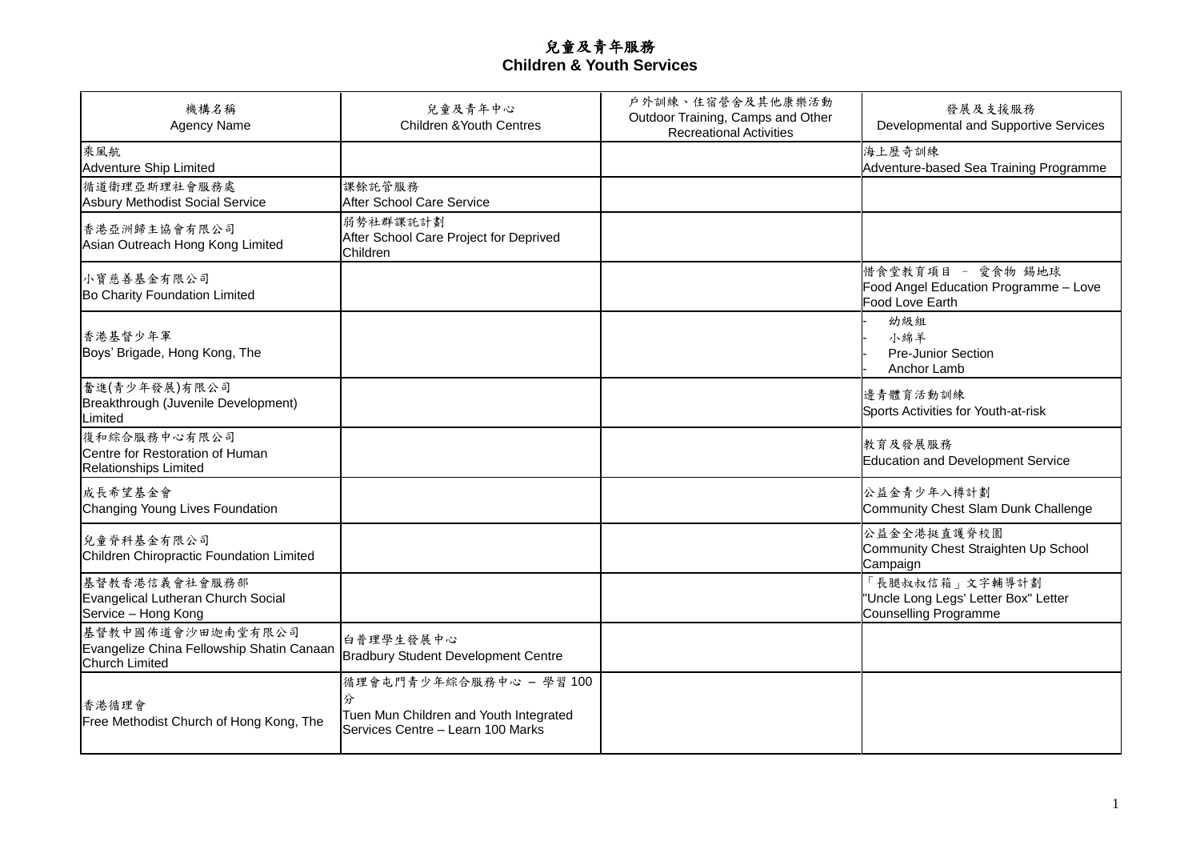## 兒童及青年服務 **Children & Youth Services**

| 機構名稱<br><b>Agency Name</b>                                                       | 兒童及青年中心<br><b>Children &amp; Youth Centres</b>                                                             | 戶外訓練、住宿營舍及其他康樂活動<br>Outdoor Training, Camps and Other<br><b>Recreational Activities</b> | 發展及支援服務<br>Developmental and Supportive Services                                       |
|----------------------------------------------------------------------------------|------------------------------------------------------------------------------------------------------------|-----------------------------------------------------------------------------------------|----------------------------------------------------------------------------------------|
| 乘風航<br><b>Adventure Ship Limited</b>                                             |                                                                                                            |                                                                                         | 海上歷奇訓練<br>Adventure-based Sea Training Programme                                       |
| 循道衛理亞斯理社會服務處<br><b>Asbury Methodist Social Service</b>                           | 課餘託管服務<br>After School Care Service                                                                        |                                                                                         |                                                                                        |
| 香港亞洲歸主協會有限公司<br>Asian Outreach Hong Kong Limited                                 | 弱勢社群課託計劃<br>After School Care Project for Deprived<br>Children                                             |                                                                                         |                                                                                        |
| 小寶慈善基金有限公司<br>Bo Charity Foundation Limited                                      |                                                                                                            |                                                                                         | 惜食堂教育項目 - 愛食物 錫地球<br>Food Angel Education Programme - Love<br>Food Love Earth          |
| 香港基督少年軍<br>Boys' Brigade, Hong Kong, The                                         |                                                                                                            |                                                                                         | 幼級組<br>小綿羊<br><b>Pre-Junior Section</b><br>Anchor Lamb                                 |
| 奮進(青少年發展)有限公司<br>Breakthrough (Juvenile Development)<br>Limited                  |                                                                                                            |                                                                                         | 邊青體育活動訓練<br>Sports Activities for Youth-at-risk                                        |
| 復和綜合服務中心有限公司<br>Centre for Restoration of Human<br><b>Relationships Limited</b>  |                                                                                                            |                                                                                         | 教育及發展服務<br>Education and Development Service                                           |
| 成長希望基金會<br>Changing Young Lives Foundation                                       |                                                                                                            |                                                                                         | 公益金青少年入樽計劃<br>Community Chest Slam Dunk Challenge                                      |
| 兒童脊科基金有限公司<br>Children Chiropractic Foundation Limited                           |                                                                                                            |                                                                                         | 公益金全港挺直護脊校園<br>Community Chest Straighten Up School<br>Campaign                        |
| 基督教香港信義會社會服務部<br>Evangelical Lutheran Church Social<br>Service - Hong Kong       |                                                                                                            |                                                                                         | 「長腿叔叔信箱」文字輔導計劃<br>"Uncle Long Legs' Letter Box" Letter<br><b>Counselling Programme</b> |
| 基督教中國佈道會沙田迦南堂有限公司<br>Evangelize China Fellowship Shatin Canaan<br>Church Limited | 白普理學生發展中心<br>Bradbury Student Development Centre                                                           |                                                                                         |                                                                                        |
| 香港循理會<br>Free Methodist Church of Hong Kong, The                                 | 循理會屯門青少年綜合服務中心 - 學習100<br>分<br>Tuen Mun Children and Youth Integrated<br>Services Centre - Learn 100 Marks |                                                                                         |                                                                                        |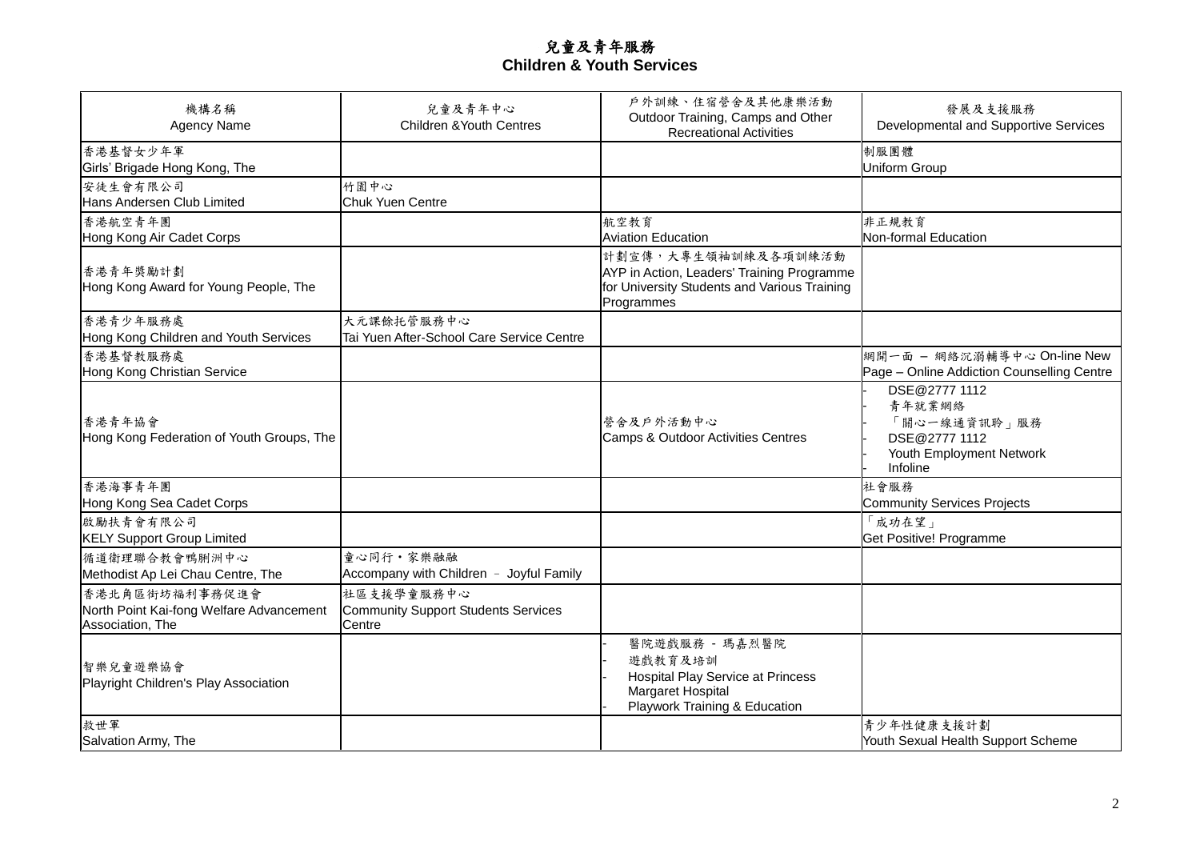## 兒童及青年服務 **Children & Youth Services**

| 機構名稱<br><b>Agency Name</b>                                                     | 兒童及青年中心<br><b>Children &amp; Youth Centres</b>              | 戶外訓練、住宿營舍及其他康樂活動<br>Outdoor Training, Camps and Other<br><b>Recreational Activities</b>                                         | 發展及支援服務<br>Developmental and Supportive Services                                                 |
|--------------------------------------------------------------------------------|-------------------------------------------------------------|---------------------------------------------------------------------------------------------------------------------------------|--------------------------------------------------------------------------------------------------|
| 香港基督女少年軍<br>Girls' Brigade Hong Kong, The                                      |                                                             |                                                                                                                                 | 制服團體<br><b>Uniform Group</b>                                                                     |
| 安徒生會有限公司<br>Hans Andersen Club Limited                                         | 竹園中心<br><b>Chuk Yuen Centre</b>                             |                                                                                                                                 |                                                                                                  |
| 香港航空青年團<br>Hong Kong Air Cadet Corps                                           |                                                             | 航空教育<br><b>Aviation Education</b>                                                                                               | 非正規教育<br>Non-formal Education                                                                    |
| 香港青年獎勵計劃<br>Hong Kong Award for Young People, The                              |                                                             | 計劃宣傳,大專生領袖訓練及各項訓練活動<br>AYP in Action, Leaders' Training Programme<br>for University Students and Various Training<br>Programmes |                                                                                                  |
| 香港青少年服務處<br>Hong Kong Children and Youth Services                              | 大元課餘托管服務中心<br>Tai Yuen After-School Care Service Centre     |                                                                                                                                 |                                                                                                  |
| 香港基督教服務處<br>Hong Kong Christian Service                                        |                                                             |                                                                                                                                 | 網開一面 - 網絡沉溺輔導中心 On-line New<br>Page - Online Addiction Counselling Centre                        |
| 香港青年協會<br>Hong Kong Federation of Youth Groups, The                            |                                                             | 營舍及戶外活動中心<br>Camps & Outdoor Activities Centres                                                                                 | DSE@2777 1112<br>青年就業網絡<br>「關心一線通資訊聆」服務<br>DSE@2777 1112<br>Youth Employment Network<br>Infoline |
| 香港海事青年團<br>Hong Kong Sea Cadet Corps                                           |                                                             |                                                                                                                                 | 社會服務<br><b>Community Services Projects</b>                                                       |
| 啟勵扶青會有限公司<br><b>KELY Support Group Limited</b>                                 |                                                             |                                                                                                                                 | 「成功在望」<br>Get Positive! Programme                                                                |
| 循道衛理聯合教會鴨脷洲中心<br>Methodist Ap Lei Chau Centre, The                             | 童心同行·家樂融融<br>Accompany with Children - Joyful Family        |                                                                                                                                 |                                                                                                  |
| 香港北角區街坊福利事務促進會<br>North Point Kai-fong Welfare Advancement<br>Association, The | 社區支援學童服務中心<br>Community Support Students Services<br>Centre |                                                                                                                                 |                                                                                                  |
| 智樂兒童遊樂協會<br>Playright Children's Play Association                              |                                                             | 醫院遊戲服務 - 瑪嘉烈醫院<br>遊戲教育及培訓<br><b>Hospital Play Service at Princess</b><br>Margaret Hospital<br>Playwork Training & Education     |                                                                                                  |
| 救世軍<br>Salvation Army, The                                                     |                                                             |                                                                                                                                 | 青少年性健康支援計劃<br>Youth Sexual Health Support Scheme                                                 |